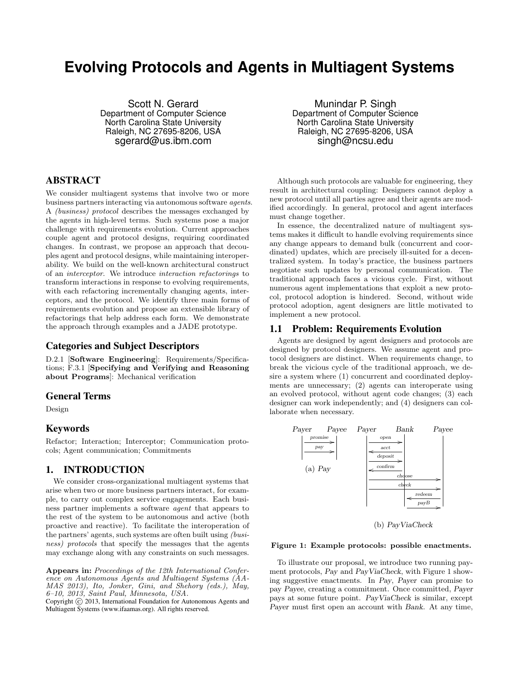# **Evolving Protocols and Agents in Multiagent Systems**

Scott N. Gerard Department of Computer Science North Carolina State University Raleigh, NC 27695-8206, USA sgerard@us.ibm.com

# ABSTRACT

We consider multiagent systems that involve two or more business partners interacting via autonomous software agents. A (business) protocol describes the messages exchanged by the agents in high-level terms. Such systems pose a major challenge with requirements evolution. Current approaches couple agent and protocol designs, requiring coordinated changes. In contrast, we propose an approach that decouples agent and protocol designs, while maintaining interoperability. We build on the well-known architectural construct of an interceptor. We introduce interaction refactorings to transform interactions in response to evolving requirements, with each refactoring incrementally changing agents, interceptors, and the protocol. We identify three main forms of requirements evolution and propose an extensible library of refactorings that help address each form. We demonstrate the approach through examples and a JADE prototype.

# Categories and Subject Descriptors

D.2.1 [Software Engineering]: Requirements/Specifications; F.3.1 [Specifying and Verifying and Reasoning about Programs]: Mechanical verification

#### General Terms

Design

## Keywords

Refactor; Interaction; Interceptor; Communication protocols; Agent communication; Commitments

# 1. INTRODUCTION

We consider cross-organizational multiagent systems that arise when two or more business partners interact, for example, to carry out complex service engagements. Each business partner implements a software agent that appears to the rest of the system to be autonomous and active (both proactive and reactive). To facilitate the interoperation of the partners' agents, such systems are often built using (business) protocols that specify the messages that the agents may exchange along with any constraints on such messages.

Appears in: Proceedings of the 12th International Conference on Autonomous Agents and Multiagent Systems (AA-MAS 2013), Ito, Jonker, Gini, and Shehory (eds.), May, 6–10, 2013, Saint Paul, Minnesota, USA.

Copyright  $\overline{c}$  2013, International Foundation for Autonomous Agents and Multiagent Systems (www.ifaamas.org). All rights reserved.

Munindar P. Singh Department of Computer Science North Carolina State University Raleigh, NC 27695-8206, USA singh@ncsu.edu

Although such protocols are valuable for engineering, they result in architectural coupling: Designers cannot deploy a new protocol until all parties agree and their agents are modified accordingly. In general, protocol and agent interfaces must change together.

In essence, the decentralized nature of multiagent systems makes it difficult to handle evolving requirements since any change appears to demand bulk (concurrent and coordinated) updates, which are precisely ill-suited for a decentralized system. In today's practice, the business partners negotiate such updates by personal communication. The traditional approach faces a vicious cycle. First, without numerous agent implementations that exploit a new protocol, protocol adoption is hindered. Second, without wide protocol adoption, agent designers are little motivated to implement a new protocol.

## 1.1 Problem: Requirements Evolution

Agents are designed by agent designers and protocols are designed by protocol designers. We assume agent and protocol designers are distinct. When requirements change, to break the vicious cycle of the traditional approach, we desire a system where (1) concurrent and coordinated deployments are unnecessary; (2) agents can interoperate using an evolved protocol, without agent code changes; (3) each designer can work independently; and (4) designers can collaborate when necessary.



(b) PayViaCheck

#### Figure 1: Example protocols: possible enactments.

To illustrate our proposal, we introduce two running payment protocols, Pay and PayViaCheck, with Figure 1 showing suggestive enactments. In Pay, Payer can promise to pay Payee, creating a commitment. Once committed, Payer pays at some future point. PayViaCheck is similar, except Payer must first open an account with Bank. At any time,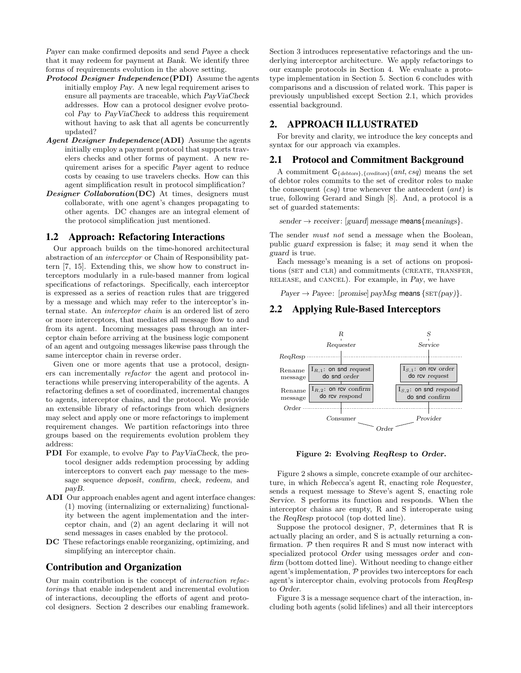Payer can make confirmed deposits and send Payee a check that it may redeem for payment at Bank. We identify three forms of requirements evolution in the above setting.

- Protocol Designer Independence(PDI) Assume the agents initially employ Pay. A new legal requirement arises to ensure all payments are traceable, which PayViaCheck addresses. How can a protocol designer evolve protocol Pay to PayViaCheck to address this requirement without having to ask that all agents be concurrently updated?
- Agent Designer Independence (ADI) Assume the agents initially employ a payment protocol that supports travelers checks and other forms of payment. A new requirement arises for a specific Payer agent to reduce costs by ceasing to use travelers checks. How can this agent simplification result in protocol simplification?
- Designer Collaboration(DC) At times, designers must collaborate, with one agent's changes propagating to other agents. DC changes are an integral element of the protocol simplification just mentioned.

## 1.2 Approach: Refactoring Interactions

Our approach builds on the time-honored architectural abstraction of an interceptor or Chain of Responsibility pattern [7, 15]. Extending this, we show how to construct interceptors modularly in a rule-based manner from logical specifications of refactorings. Specifically, each interceptor is expressed as a series of reaction rules that are triggered by a message and which may refer to the interceptor's internal state. An interceptor chain is an ordered list of zero or more interceptors, that mediates all message flow to and from its agent. Incoming messages pass through an interceptor chain before arriving at the business logic component of an agent and outgoing messages likewise pass through the same interceptor chain in reverse order.

Given one or more agents that use a protocol, designers can incrementally refactor the agent and protocol interactions while preserving interoperability of the agents. A refactoring defines a set of coordinated, incremental changes to agents, interceptor chains, and the protocol. We provide an extensible library of refactorings from which designers may select and apply one or more refactorings to implement requirement changes. We partition refactorings into three groups based on the requirements evolution problem they address:

- PDI For example, to evolve Pay to PayViaCheck, the protocol designer adds redemption processing by adding interceptors to convert each pay message to the message sequence deposit, confirm, check, redeem, and payB.
- ADI Our approach enables agent and agent interface changes: (1) moving (internalizing or externalizing) functionality between the agent implementation and the interceptor chain, and (2) an agent declaring it will not send messages in cases enabled by the protocol.
- DC These refactorings enable reorganizing, optimizing, and simplifying an interceptor chain.

## Contribution and Organization

Our main contribution is the concept of interaction refactorings that enable independent and incremental evolution of interactions, decoupling the efforts of agent and protocol designers. Section 2 describes our enabling framework. Section 3 introduces representative refactorings and the underlying interceptor architecture. We apply refactorings to our example protocols in Section 4. We evaluate a prototype implementation in Section 5. Section 6 concludes with comparisons and a discussion of related work. This paper is previously unpublished except Section 2.1, which provides essential background.

# 2. APPROACH ILLUSTRATED

For brevity and clarity, we introduce the key concepts and syntax for our approach via examples.

# 2.1 Protocol and Commitment Background

A commitment  $C_{\{debtors\}, \{creditors\}}(ant, csq)$  means the set of debtor roles commits to the set of creditor roles to make the consequent  $(csq)$  true whenever the antecedent  $(ant)$  is true, following Gerard and Singh [8]. And, a protocol is a set of guarded statements:

 $sender \rightarrow receiver: [guard] message means{meaning}.$ 

The sender must not send a message when the Boolean, public guard expression is false; it may send it when the guard is true.

Each message's meaning is a set of actions on propositions (SET and CLR) and commitments (CREATE, TRANSFER, release, and cancel). For example, in Pay, we have

 $Payer \rightarrow Payee$ : [promise] payMsg means {SET(pay)}.

# 2.2 Applying Rule-Based Interceptors



Figure 2: Evolving ReqResp to Order.

Figure 2 shows a simple, concrete example of our architecture, in which Rebecca's agent R, enacting role Requester, sends a request message to Steve's agent S, enacting role Service. S performs its function and responds. When the interceptor chains are empty, R and S interoperate using the ReqResp protocol (top dotted line).

Suppose the protocol designer,  $P$ , determines that R is actually placing an order, and S is actually returning a confirmation.  $P$  then requires R and S must now interact with specialized protocol Order using messages order and confirm (bottom dotted line). Without needing to change either agent's implementation,  $P$  provides two interceptors for each agent's interceptor chain, evolving protocols from ReqResp to Order.

Figure 3 is a message sequence chart of the interaction, including both agents (solid lifelines) and all their interceptors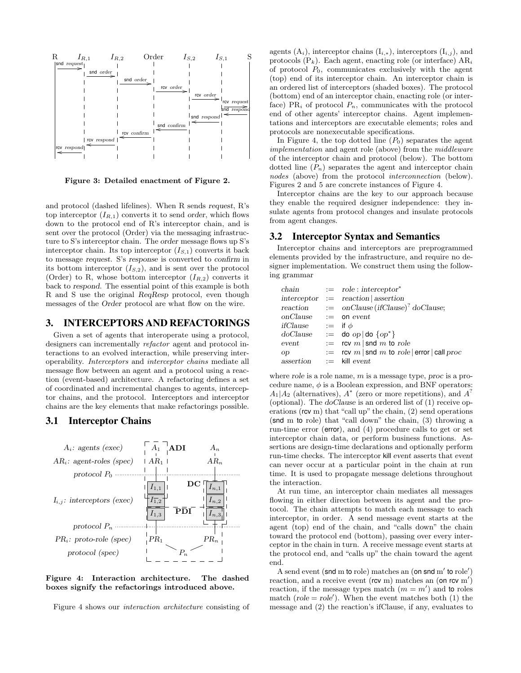

Figure 3: Detailed enactment of Figure 2.

and protocol (dashed lifelines). When R sends request, R's top interceptor  $(I_{R,1})$  converts it to send order, which flows down to the protocol end of R's interceptor chain, and is sent over the protocol (Order) via the messaging infrastructure to S's interceptor chain. The order message flows up S's interceptor chain. Its top interceptor  $(I_{S,1})$  converts it back to message request. S's response is converted to confirm in its bottom interceptor  $(I_{S,2})$ , and is sent over the protocol (Order) to R, whose bottom interceptor  $(I_{R,2})$  converts it back to respond. The essential point of this example is both R and S use the original ReqResp protocol, even though messages of the Order protocol are what flow on the wire.

# 3. INTERCEPTORS AND REFACTORINGS

Given a set of agents that interoperate using a protocol, designers can incrementally refactor agent and protocol interactions to an evolved interaction, while preserving interoperability. Interceptors and interceptor chains mediate all message flow between an agent and a protocol using a reaction (event-based) architecture. A refactoring defines a set of coordinated and incremental changes to agents, interceptor chains, and the protocol. Interceptors and interceptor chains are the key elements that make refactorings possible.

#### 3.1 Interceptor Chains



Figure 4: Interaction architecture. The dashed boxes signify the refactorings introduced above.

Figure 4 shows our interaction architecture consisting of

agents  $(A_i)$ , interceptor chains  $(I_{i,*})$ , interceptors  $(I_{i,j})$ , and protocols  $(P_k)$ . Each agent, enacting role (or interface)  $AR_i$ of protocol  $P_0$ , communicates exclusively with the agent (top) end of its interceptor chain. An interceptor chain is an ordered list of interceptors (shaded boxes). The protocol (bottom) end of an interceptor chain, enacting role (or interface) PR<sub>i</sub> of protocol  $P_n$ , communicates with the protocol end of other agents' interceptor chains. Agent implementations and interceptors are executable elements; roles and protocols are nonexecutable specifications.

In Figure 4, the top dotted line  $(P_0)$  separates the agent implementation and agent role (above) from the middleware of the interceptor chain and protocol (below). The bottom dotted line  $(P_n)$  separates the agent and interceptor chain nodes (above) from the protocol interconnection (below). Figures 2 and 5 are concrete instances of Figure 4.

Interceptor chains are the key to our approach because they enable the required designer independence: they insulate agents from protocol changes and insulate protocols from agent changes.

#### 3.2 Interceptor Syntax and Semantics

Interceptor chains and interceptors are preprogrammed elements provided by the infrastructure, and require no designer implementation. We construct them using the following grammar

|                          |                | chain $:=$ role : interceptor*                                   |
|--------------------------|----------------|------------------------------------------------------------------|
|                          |                | $interceptor := reaction   assertion$                            |
|                          |                | reaction $:= \text{on}$ Clause (ifClause) <sup>?</sup> doClause; |
| $onClause$ $:=$ on event |                |                                                                  |
| ifClause                 | $:=$ if $\phi$ |                                                                  |
| doClause                 |                | $:=$ do $op  $ do $\{op\}^*\}$                                   |
| event                    |                | $:=$ rcv m   snd m to role                                       |
| op                       |                | $:=$ rcv m   snd m to role   error   call proc                   |
| assertion                |                | $:=$ kill event                                                  |

where role is a role name,  $m$  is a message type, proc is a procedure name,  $\phi$  is a Boolean expression, and BNF operators:  $A_1|A_2$  (alternatives),  $A^*$  (zero or more repetitions), and  $A^?$ (optional). The doClause is an ordered list of (1) receive operations (rcv m) that "call up" the chain, (2) send operations (snd m to role) that "call down" the chain, (3) throwing a run-time error (error), and (4) procedure calls to get or set interceptor chain data, or perform business functions. Assertions are design-time declarations and optionally perform run-time checks. The interceptor kill event asserts that event can never occur at a particular point in the chain at run time. It is used to propagate message deletions throughout the interaction.

At run time, an interceptor chain mediates all messages flowing in either direction between its agent and the protocol. The chain attempts to match each message to each interceptor, in order. A send message event starts at the agent (top) end of the chain, and "calls down" the chain toward the protocol end (bottom), passing over every interceptor in the chain in turn. A receive message event starts at the protocol end, and "calls up" the chain toward the agent end.

A send event (snd m to role) matches an (on snd m' to role') reaction, and a receive event (rcv m) matches an  $($ on rcv m' $)$ reaction, if the message types match  $(m = m')$  and to roles match ( $role = role'$ ). When the event matches both (1) the message and (2) the reaction's ifClause, if any, evaluates to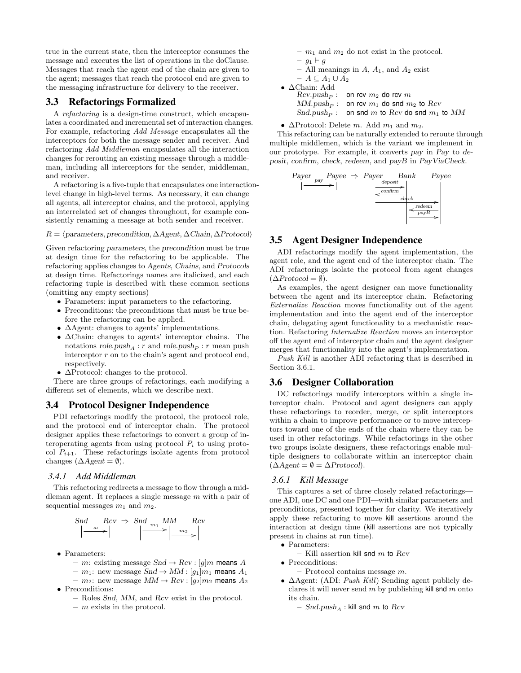true in the current state, then the interceptor consumes the message and executes the list of operations in the doClause. Messages that reach the agent end of the chain are given to the agent; messages that reach the protocol end are given to the messaging infrastructure for delivery to the receiver.

# 3.3 Refactorings Formalized

A refactoring is a design-time construct, which encapsulates a coordinated and incremental set of interaction changes. For example, refactoring Add Message encapsulates all the interceptors for both the message sender and receiver. And refactoring Add Middleman encapsulates all the interaction changes for rerouting an existing message through a middleman, including all interceptors for the sender, middleman, and receiver.

A refactoring is a five-tuple that encapsulates one interactionlevel change in high-level terms. As necessary, it can change all agents, all interceptor chains, and the protocol, applying an interrelated set of changes throughout, for example consistently renaming a message at both sender and receiver.

#### $R = \langle parameters, precondition, \Delta Agent, \Delta Chain, \Delta Protocol \rangle$

Given refactoring parameters, the precondition must be true at design time for the refactoring to be applicable. The refactoring applies changes to Agents, Chains, and Protocols at design time. Refactorings names are italicized, and each refactoring tuple is described with these common sections (omitting any empty sections)

- Parameters: input parameters to the refactoring.
- Preconditions: the preconditions that must be true before the refactoring can be applied.
- ∆Agent: changes to agents' implementations.
- ∆Chain: changes to agents' interceptor chains. The notations  $\mathit{role}.\mathit{push}_A : r$  and  $\mathit{role}.\mathit{push}_P : r$  mean push interceptor r on to the chain's agent and protocol end, respectively.
- ∆Protocol: changes to the protocol.

There are three groups of refactorings, each modifying a different set of elements, which we describe next.

#### 3.4 Protocol Designer Independence

PDI refactorings modify the protocol, the protocol role, and the protocol end of interceptor chain. The protocol designer applies these refactorings to convert a group of interoperating agents from using protocol  $P_i$  to using protocol  $P_{i+1}$ . These refactorings isolate agents from protocol changes  $(\Delta Agent = \emptyset)$ .

## *3.4.1 Add Middleman*

This refactoring redirects a message to flow through a middleman agent. It replaces a single message  $m$  with a pair of sequential messages  $m_1$  and  $m_2$ .

$$
\begin{array}{ccc}\n\text{Snd} & \text{Rcv} \Rightarrow \text{Snd}_{m_1} \text{MM} & \text{Rcv} \\
\left| \xrightarrow{m} \right| & \left| \xrightarrow{m_2} \right| & \text{max}\n\end{array}
$$

- Parameters:
	- m: existing message  $Snd \rightarrow Rcv : [g]m$  means A

–  $m_1$ : new message  $Snd \rightarrow MM : [g_1]m_1$  means  $A_1$ –  $m_2$ : new message  $MM \to Rcv$ : [ $q_2$ ] $m_2$  means  $A_2$ 

- Preconditions:
	- Roles Snd, MM, and Rcv exist in the protocol.
	- $-$  m exists in the protocol.
- $m_1$  and  $m_2$  do not exist in the protocol.
- $g_1 \vdash g$
- All meanings in  $A$ ,  $A_1$ , and  $A_2$  exist

```
- A \subseteq A_1 \cup A_2• ∆Chain: Add
      Rcv.push<sub>P</sub>: on rcv m<sub>2</sub> do rcv mMM.push<sub>P</sub>: on rcv m<sub>1</sub> do snd m<sub>2</sub> to RcvSnd.push<sub>P</sub>: on snd m to Rcv do snd m<sub>1</sub> to MM
```
•  $\Delta$ Protocol: Delete m. Add  $m_1$  and  $m_2$ .

This refactoring can be naturally extended to reroute through multiple middlemen, which is the variant we implement in our prototype. For example, it converts pay in Pay to deposit, confirm, check, redeem, and payB in PayViaCheck.



# 3.5 Agent Designer Independence

ADI refactorings modify the agent implementation, the agent role, and the agent end of the interceptor chain. The ADI refactorings isolate the protocol from agent changes  $(\Delta Protocol = \emptyset).$ 

As examples, the agent designer can move functionality between the agent and its interceptor chain. Refactoring Externalize Reaction moves functionality out of the agent implementation and into the agent end of the interceptor chain, delegating agent functionality to a mechanistic reaction. Refactoring Internalize Reaction moves an interceptor off the agent end of interceptor chain and the agent designer merges that functionality into the agent's implementation.

Push Kill is another ADI refactoring that is described in Section 3.6.1.

# 3.6 Designer Collaboration

DC refactorings modify interceptors within a single interceptor chain. Protocol and agent designers can apply these refactorings to reorder, merge, or split interceptors within a chain to improve performance or to move interceptors toward one of the ends of the chain where they can be used in other refactorings. While refactorings in the other two groups isolate designers, these refactorings enable multiple designers to collaborate within an interceptor chain  $(\Delta Agent = \emptyset = \Delta Protocol).$ 

#### *3.6.1 Kill Message*

This captures a set of three closely related refactorings one ADI, one DC and one PDI—with similar parameters and preconditions, presented together for clarity. We iteratively apply these refactoring to move kill assertions around the interaction at design time (kill assertions are not typically present in chains at run time).

• Parameters:

– Kill assertion kill snd  $m$  to  $Rcv$ 

- Preconditions:
	- $-$  Protocol contains message  $m$ .
- $\Delta$ Agent: (ADI: *Push Kill*) Sending agent publicly declares it will never send  $m$  by publishing kill snd  $m$  onto its chain.

 $-$  Snd.push<sub>A</sub> : kill snd m to Rcv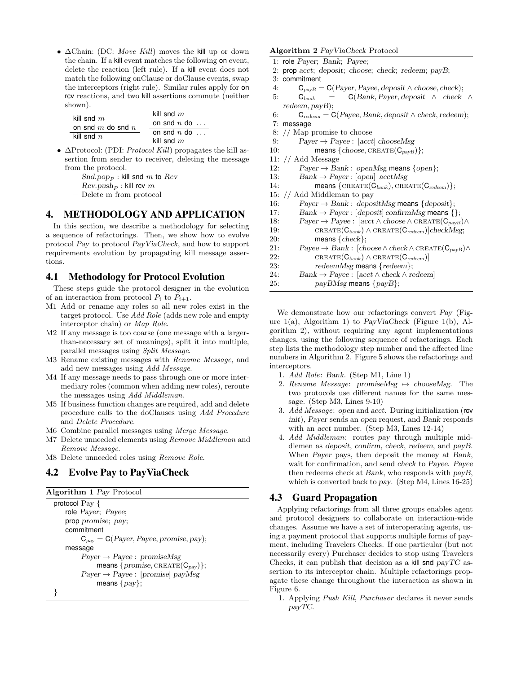•  $\Delta$ Chain: (DC: Move Kill) moves the kill up or down the chain. If a kill event matches the following on event, delete the reaction (left rule). If a kill event does not match the following onClause or doClause events, swap the interceptors (right rule). Similar rules apply for on rcv reactions, and two kill assertions commute (neither shown). kill snd m

| kill snd $m$          | KIII SHU <i>TIL</i>   |  |  |
|-----------------------|-----------------------|--|--|
|                       | on snd $n$ do $\dots$ |  |  |
| on snd $m$ do snd $n$ |                       |  |  |
| kill snd $n$          | on snd $n$ do $\dots$ |  |  |
|                       | kill snd $m$          |  |  |

- $\Delta$ Protocol: (PDI: *Protocol Kill*) propagates the kill assertion from sender to receiver, deleting the message from the protocol.
	- $Snd.pop_{P}$ : kill snd m to Rcv
	- $Rcv.push<sub>P</sub>$ : kill rcv m
	- Delete m from protocol

# 4. METHODOLOGY AND APPLICATION

In this section, we describe a methodology for selecting a sequence of refactorings. Then, we show how to evolve protocol Pay to protocol PayViaCheck, and how to support requirements evolution by propagating kill message assertions.

# 4.1 Methodology for Protocol Evolution

These steps guide the protocol designer in the evolution of an interaction from protocol  $P_i$  to  $P_{i+1}$ .

- M1 Add or rename any roles so all new roles exist in the target protocol. Use *Add Role* (adds new role and empty interceptor chain) or Map Role.
- M2 If any message is too coarse (one message with a largerthan-necessary set of meanings), split it into multiple, parallel messages using Split Message.
- M3 Rename existing messages with Rename Message, and add new messages using Add Message.
- M4 If any message needs to pass through one or more intermediary roles (common when adding new roles), reroute the messages using Add Middleman.
- M5 If business function changes are required, add and delete procedure calls to the doClauses using Add Procedure and Delete Procedure.
- M6 Combine parallel messages using Merge Message.
- M7 Delete unneeded elements using Remove Middleman and Remove Message.
- M8 Delete unneeded roles using Remove Role.

# 4.2 Evolve Pay to PayViaCheck

## Algorithm 1 Pay Protocol

```
protocol Pay {
   role Payer; Payee;
   prop promise; pay;
   commitment
         C_{pay} = C(Payer, Page, promise, pay);message
         Payer \rightarrow Payee: promiseMsg
               means \{promise, \text{CREATE}(\mathbf{C}_{\text{pav}})\};Payer \rightarrow Payee: [promise] payMsg
              means \{pay\};}
```
#### Algorithm 2 PayViaCheck Protocol

1: role Payer; Bank; Payee;

- 2: prop acct; deposit; choose; check; redeem; payB;
- 3: commitment
- 4:  $C_{payB} = C(Payer, Page, deposit \land choose, check);$
- 5:  $C_{bank} = C(Bank, Payer, deposit \wedge check \wedge$ redeem, payB);
- 6:  $C_{redeen} = C(Payee, Bank, deposit \wedge check, redeem);$
- 7: message
- 8: // Map promise to choose
- 9: Payer  $\rightarrow$  Payee : [acct] chooseMsg
- 10: means  ${choose, \text{CREATE}(C_{payB})};$
- 11: // Add Message
- 12: Payer  $\rightarrow$  Bank : openMsg means {open};
- 13: Bank  $\rightarrow$  Payer : [open] acctMsg
- 14: means  $\{CREATE(\mathbf{C}_{bank}), CREATE(\mathbf{C}_{redeen})\};$
- 15: // Add Middleman to pay
- 16: Payer  $\rightarrow$  Bank : depositMsg means {deposit};
- 17: Bank  $\rightarrow$  Payer : [deposit] confirmMsg means {};
- 18: Payer  $\rightarrow$  Payee : [acct  $\wedge$  choose  $\wedge$  CREATE( $\mathcal{C}_{payB}$ ) $\wedge$
- 19:  $CREATE(\mathbf{C}_{bank}) \wedge CREATE(\mathbf{C}_{redeen})|checkMsg;$ 20: means {check};
- 21: Payee → Bank : [choose ∧ check ∧ create(CpayB)∧ 22:  $CREATE(C_{bank}) \wedge CREATE(C_{redeen})$ <br>
23:  $redeemMsg$  means {redeem};
- redeemMsg means {redeem};
- 24: Bank  $\rightarrow$  Payee : [acct  $\land$  check  $\land$  redeem]
- 25: payBMsg means {payB};

We demonstrate how our refactorings convert Pay (Figure  $1(a)$ , Algorithm 1) to PayViaCheck (Figure 1(b), Algorithm 2), without requiring any agent implementations changes, using the following sequence of refactorings. Each step lists the methodology step number and the affected line numbers in Algorithm 2. Figure 5 shows the refactorings and interceptors.

- 1. Add Role: Bank. (Step M1, Line 1)
- 2. Rename Message: promiseMsg  $\mapsto$  chooseMsg. The two protocols use different names for the same message. (Step M3, Lines 9-10)
- 3. Add Message: open and acct. During initialization (rcv init), Payer sends an open request, and Bank responds with an *acct* number. (Step M3, Lines 12-14)
- 4. Add Middleman: routes pay through multiple middlemen as deposit, confirm, check, redeem, and payB. When Payer pays, then deposit the money at Bank, wait for confirmation, and send check to Payee. Payee then redeems check at Bank, who responds with payB, which is converted back to pay. (Step M4, Lines 16-25)

# 4.3 Guard Propagation

Applying refactorings from all three groups enables agent and protocol designers to collaborate on interaction-wide changes. Assume we have a set of interoperating agents, using a payment protocol that supports multiple forms of payment, including Travelers Checks. If one particular (but not necessarily every) Purchaser decides to stop using Travelers Checks, it can publish that decision as a kill snd  $payTC$  assertion to its interceptor chain. Multiple refactorings propagate these change throughout the interaction as shown in Figure 6.

1. Applying Push Kill, Purchaser declares it never sends payTC.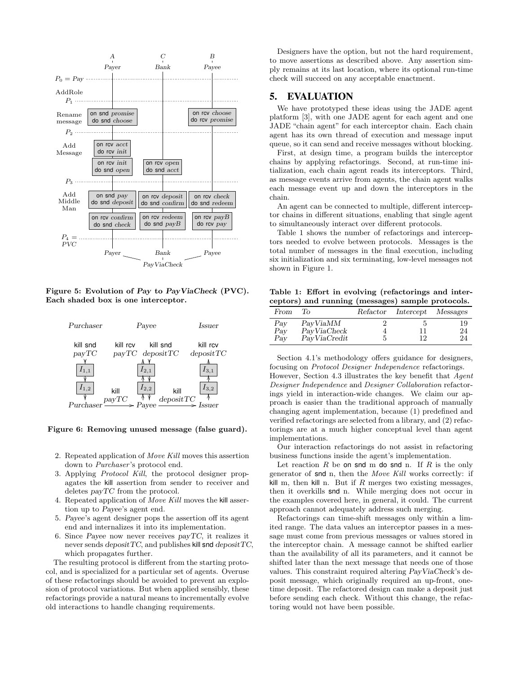

Figure 5: Evolution of Pay to PayViaCheck (PVC). Each shaded box is one interceptor.



Figure 6: Removing unused message (false guard).

- 2. Repeated application of Move Kill moves this assertion down to *Purchaser's* protocol end.
- 3. Applying Protocol Kill, the protocol designer propagates the kill assertion from sender to receiver and deletes payTC from the protocol.
- 4. Repeated application of Move Kill moves the kill assertion up to Payee's agent end.
- 5. Payee's agent designer pops the assertion off its agent end and internalizes it into its implementation.
- 6. Since Payee now never receives payTC, it realizes it never sends  $depositTC$ , and publishes kill snd  $depositTC$ , which propagates further.

The resulting protocol is different from the starting protocol, and is specialized for a particular set of agents. Overuse of these refactorings should be avoided to prevent an explosion of protocol variations. But when applied sensibly, these refactorings provide a natural means to incrementally evolve old interactions to handle changing requirements.

Designers have the option, but not the hard requirement, to move assertions as described above. Any assertion simply remains at its last location, where its optional run-time check will succeed on any acceptable enactment.

# 5. EVALUATION

We have prototyped these ideas using the JADE agent platform [3], with one JADE agent for each agent and one JADE "chain agent" for each interceptor chain. Each chain agent has its own thread of execution and message input queue, so it can send and receive messages without blocking.

First, at design time, a program builds the interceptor chains by applying refactorings. Second, at run-time initialization, each chain agent reads its interceptors. Third, as message events arrive from agents, the chain agent walks each message event up and down the interceptors in the chain.

An agent can be connected to multiple, different interceptor chains in different situations, enabling that single agent to simultaneously interact over different protocols.

Table 1 shows the number of refactorings and interceptors needed to evolve between protocols. Messages is the total number of messages in the final execution, including six initialization and six terminating, low-level messages not shown in Figure 1.

Table 1: Effort in evolving (refactorings and interceptors) and running (messages) sample protocols.

| From              | To                                      | Refactor | Intercept Messages |                |
|-------------------|-----------------------------------------|----------|--------------------|----------------|
| Pay<br>Pay<br>Pay | PayViaMM<br>PayViaCheck<br>PayViaCredit | 5        | 11<br>12           | 19<br>24<br>24 |

Section 4.1's methodology offers guidance for designers, focusing on Protocol Designer Independence refactorings.

However, Section 4.3 illustrates the key benefit that Agent Designer Independence and Designer Collaboration refactorings yield in interaction-wide changes. We claim our approach is easier than the traditional approach of manually changing agent implementation, because (1) predefined and verified refactorings are selected from a library, and (2) refactorings are at a much higher conceptual level than agent implementations.

Our interaction refactorings do not assist in refactoring business functions inside the agent's implementation.

Let reaction R be on snd m do snd n. If R is the only generator of snd n, then the Move Kill works correctly: if kill m, then kill n. But if  $R$  merges two existing messages, then it overkills snd n. While merging does not occur in the examples covered here, in general, it could. The current approach cannot adequately address such merging.

Refactorings can time-shift messages only within a limited range. The data values an interceptor passes in a message must come from previous messages or values stored in the interceptor chain. A message cannot be shifted earlier than the availability of all its parameters, and it cannot be shifted later than the next message that needs one of those values. This constraint required altering PayViaCheck's deposit message, which originally required an up-front, onetime deposit. The refactored design can make a deposit just before sending each check. Without this change, the refactoring would not have been possible.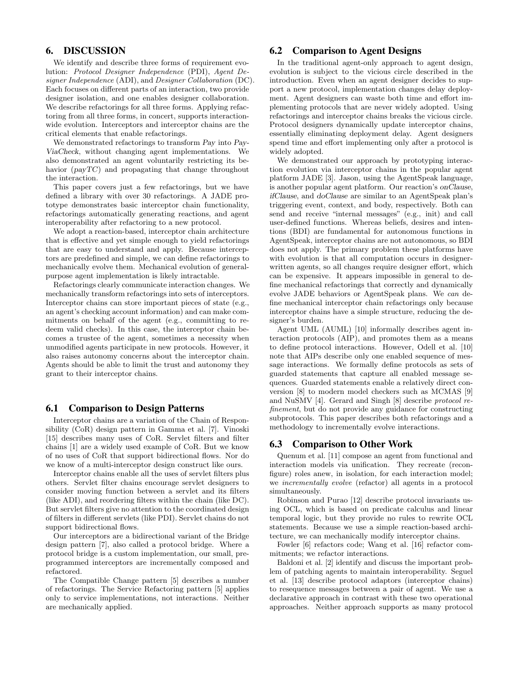# 6. DISCUSSION

We identify and describe three forms of requirement evolution: Protocol Designer Independence (PDI), Agent Designer Independence (ADI), and Designer Collaboration (DC). Each focuses on different parts of an interaction, two provide designer isolation, and one enables designer collaboration. We describe refactorings for all three forms. Applying refactoring from all three forms, in concert, supports interactionwide evolution. Interceptors and interceptor chains are the critical elements that enable refactorings.

We demonstrated refactorings to transform Pay into Pay-ViaCheck, without changing agent implementations. We also demonstrated an agent voluntarily restricting its behavior (payTC) and propagating that change throughout the interaction.

This paper covers just a few refactorings, but we have defined a library with over 30 refactorings. A JADE prototype demonstrates basic interceptor chain functionality, refactorings automatically generating reactions, and agent interoperability after refactoring to a new protocol.

We adopt a reaction-based, interceptor chain architecture that is effective and yet simple enough to yield refactorings that are easy to understand and apply. Because interceptors are predefined and simple, we can define refactorings to mechanically evolve them. Mechanical evolution of generalpurpose agent implementation is likely intractable.

Refactorings clearly communicate interaction changes. We mechanically transform refactorings into sets of interceptors. Interceptor chains can store important pieces of state (e.g., an agent's checking account information) and can make commitments on behalf of the agent (e.g., committing to redeem valid checks). In this case, the interceptor chain becomes a trustee of the agent, sometimes a necessity when unmodified agents participate in new protocols. However, it also raises autonomy concerns about the interceptor chain. Agents should be able to limit the trust and autonomy they grant to their interceptor chains.

## 6.1 Comparison to Design Patterns

Interceptor chains are a variation of the Chain of Responsibility (CoR) design pattern in Gamma et al. [7]. Vinoski [15] describes many uses of CoR. Servlet filters and filter chains [1] are a widely used example of CoR. But we know of no uses of CoR that support bidirectional flows. Nor do we know of a multi-interceptor design construct like ours.

Interceptor chains enable all the uses of servlet filters plus others. Servlet filter chains encourage servlet designers to consider moving function between a servlet and its filters (like ADI), and reordering filters within the chain (like DC). But servlet filters give no attention to the coordinated design of filters in different servlets (like PDI). Servlet chains do not support bidirectional flows.

Our interceptors are a bidirectional variant of the Bridge design pattern [7], also called a protocol bridge. Where a protocol bridge is a custom implementation, our small, preprogrammed interceptors are incrementally composed and refactored.

The Compatible Change pattern [5] describes a number of refactorings. The Service Refactoring pattern [5] applies only to service implementations, not interactions. Neither are mechanically applied.

# 6.2 Comparison to Agent Designs

In the traditional agent-only approach to agent design, evolution is subject to the vicious circle described in the introduction. Even when an agent designer decides to support a new protocol, implementation changes delay deployment. Agent designers can waste both time and effort implementing protocols that are never widely adopted. Using refactorings and interceptor chains breaks the vicious circle. Protocol designers dynamically update interceptor chains, essentially eliminating deployment delay. Agent designers spend time and effort implementing only after a protocol is widely adopted.

We demonstrated our approach by prototyping interaction evolution via interceptor chains in the popular agent platform JADE [3]. Jason, using the AgentSpeak language, is another popular agent platform. Our reaction's onClause, ifClause, and doClause are similar to an AgentSpeak plan's triggering event, context, and body, respectively. Both can send and receive "internal messages" (e.g., init) and call user-defined functions. Whereas beliefs, desires and intentions (BDI) are fundamental for autonomous functions in AgentSpeak, interceptor chains are not autonomous, so BDI does not apply. The primary problem these platforms have with evolution is that all computation occurs in designerwritten agents, so all changes require designer effort, which can be expensive. It appears impossible in general to define mechanical refactorings that correctly and dynamically evolve JADE behaviors or AgentSpeak plans. We can define mechanical interceptor chain refactorings only because interceptor chains have a simple structure, reducing the designer's burden.

Agent UML (AUML) [10] informally describes agent interaction protocols (AIP), and promotes them as a means to define protocol interactions. However, Odell et al. [10] note that AIPs describe only one enabled sequence of message interactions. We formally define protocols as sets of guarded statements that capture all enabled message sequences. Guarded statements enable a relatively direct conversion [8] to modern model checkers such as MCMAS [9] and NuSMV [4]. Gerard and Singh [8] describe protocol refinement, but do not provide any guidance for constructing subprotocols. This paper describes both refactorings and a methodology to incrementally evolve interactions.

# 6.3 Comparison to Other Work

Quenum et al. [11] compose an agent from functional and interaction models via unification. They recreate (reconfigure) roles anew, in isolation, for each interaction model; we incrementally evolve (refactor) all agents in a protocol simultaneously.

Robinson and Purao [12] describe protocol invariants using OCL, which is based on predicate calculus and linear temporal logic, but they provide no rules to rewrite OCL statements. Because we use a simple reaction-based architecture, we can mechanically modify interceptor chains.

Fowler [6] refactors code; Wang et al. [16] refactor commitments; we refactor interactions.

Baldoni et al. [2] identify and discuss the important problem of patching agents to maintain interoperability. Seguel et al. [13] describe protocol adaptors (interceptor chains) to resequence messages between a pair of agent. We use a declarative approach in contrast with these two operational approaches. Neither approach supports as many protocol